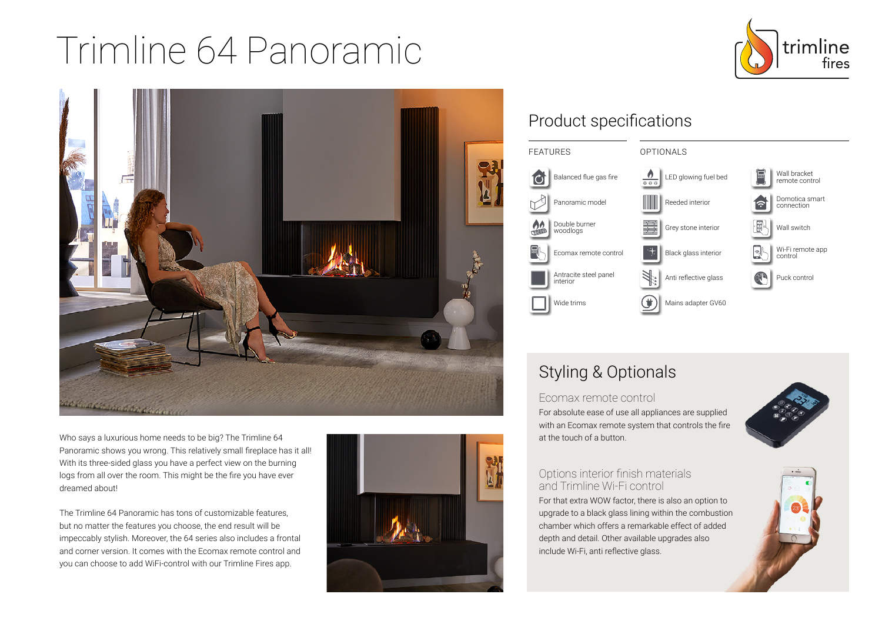# Trimline 64 Panoramic





Who says a luxurious home needs to be big? The Trimline 64 Panoramic shows you wrong. This relatively small fireplace has it all! With its three-sided glass you have a perfect view on the burning logs from all over the room. This might be the fire you have ever dreamed about!

The Trimline 64 Panoramic has tons of customizable features, but no matter the features you choose, the end result will be impeccably stylish. Moreover, the 64 series also includes a frontal and corner version. It comes with the Ecomax remote control and you can choose to add WiFi-control with our Trimline Fires app.



## Product specifications



## Styling & Optionals

Ecomax remote control For absolute ease of use all appliances are supplied with an Ecomax remote system that controls the fire at the touch of a button.



#### Options interior finish materials and Trimline Wi-Fi control

For that extra WOW factor, there is also an option to upgrade to a black glass lining within the combustion chamber which offers a remarkable effect of added depth and detail. Other available upgrades also include Wi-Fi, anti reflective glass.